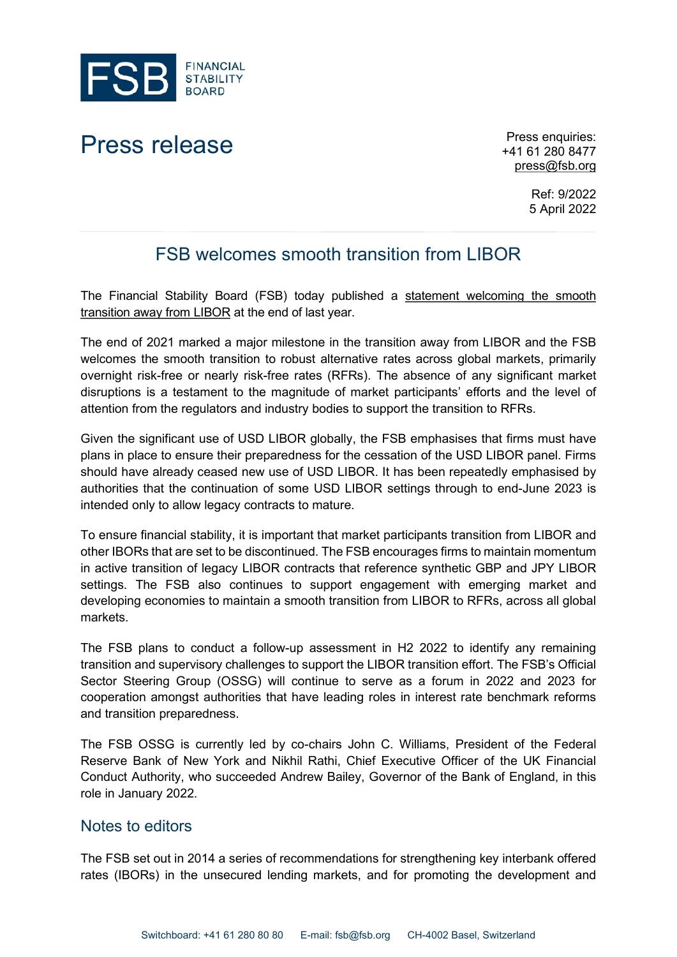

## Press release Press enquiries:

+41 61 280 8477 [press@fsb.org](mailto:press@fsb.org)

> Ref: 9/2022 5 April 2022

## FSB welcomes smooth transition from LIBOR

The Financial Stability Board (FSB) today published a [statement welcoming the smooth](https://www.fsb.org/2022/04/fsb-statement-welcoming-smooth-transition-away-from-libor/)  [transition away from LIBOR](https://www.fsb.org/2022/04/fsb-statement-welcoming-smooth-transition-away-from-libor/) at the end of last year.

The end of 2021 marked a major milestone in the transition away from LIBOR and the FSB welcomes the smooth transition to robust alternative rates across global markets, primarily overnight risk-free or nearly risk-free rates (RFRs). The absence of any significant market disruptions is a testament to the magnitude of market participants' efforts and the level of attention from the regulators and industry bodies to support the transition to RFRs.

Given the significant use of USD LIBOR globally, the FSB emphasises that firms must have plans in place to ensure their preparedness for the cessation of the USD LIBOR panel. Firms should have already ceased new use of USD LIBOR. It has been repeatedly emphasised by authorities that the continuation of some USD LIBOR settings through to end-June 2023 is intended only to allow legacy contracts to mature.

To ensure financial stability, it is important that market participants transition from LIBOR and other IBORs that are set to be discontinued. The FSB encourages firms to maintain momentum in active transition of legacy LIBOR contracts that reference synthetic GBP and JPY LIBOR settings. The FSB also continues to support engagement with emerging market and developing economies to maintain a smooth transition from LIBOR to RFRs, across all global markets.

The FSB plans to conduct a follow-up assessment in H2 2022 to identify any remaining transition and supervisory challenges to support the LIBOR transition effort. The FSB's Official Sector Steering Group (OSSG) will continue to serve as a forum in 2022 and 2023 for cooperation amongst authorities that have leading roles in interest rate benchmark reforms and transition preparedness.

The FSB OSSG is currently led by co-chairs John C. Williams, President of the Federal Reserve Bank of New York and Nikhil Rathi, Chief Executive Officer of the UK Financial Conduct Authority, who succeeded Andrew Bailey, Governor of the Bank of England, in this role in January 2022.

## Notes to editors

The FSB set out in 2014 a series of recommendations for strengthening key interbank offered rates (IBORs) in the unsecured lending markets, and for promoting the development and